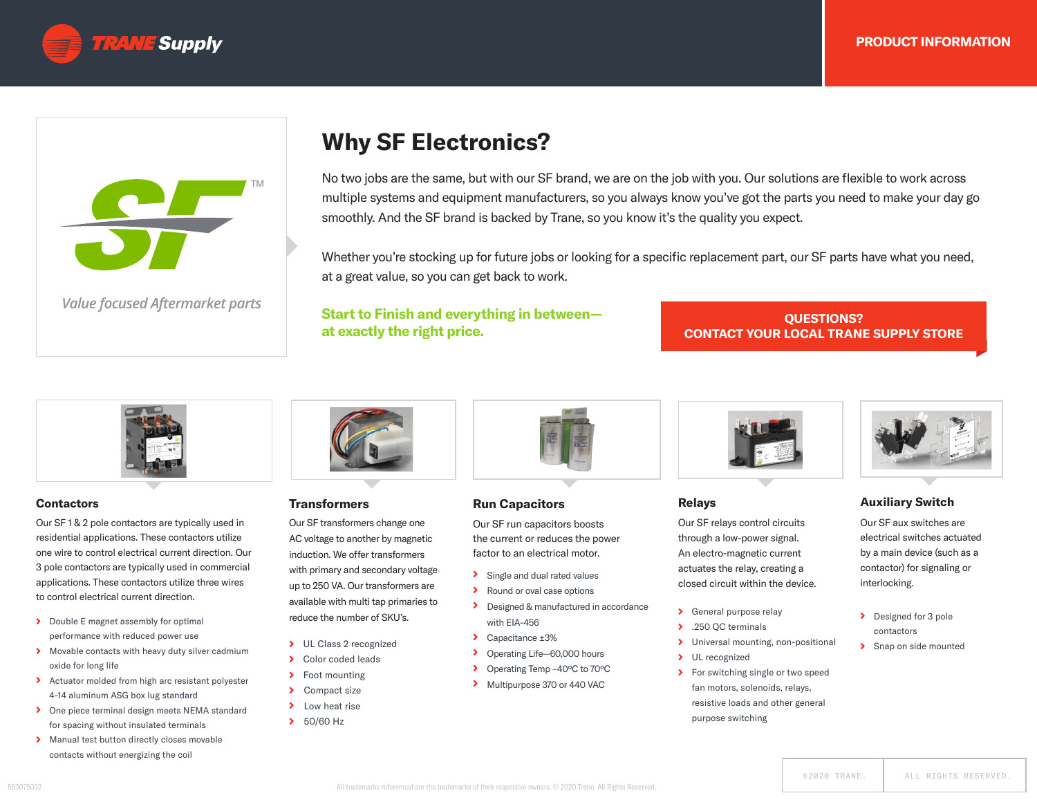



*Value focused Aftermarket parts*

# **Why SF Electronics?**

**TM** No two jobs are the same, but with our SF brand, we are on the job with you. Our solutions are flexible to work across multiple systems and equipment manufacturers, so you always know you've got the parts you need to make your day go smoothly. And the SF brand is backed by Trane, so you know it's the quality you expect.

Whether you're stocking up for future jobs or looking for a specific replacement part, our SF parts have what you need, at a great value, so you can get back to work.

## **Start to Finish and everything in between at exactly the right price.**

**QUESTIONS? CONTACT YOUR LOCAL TRANE SUPPLY STORE**



### **Contactors**

Our SF 1 & 2 pole contactors are typically used in residential applications. These contactors utilize one wire to control electrical current direction. Our 3 pole contactors are typically used in commercial applications. These contactors utilize three wires to control electrical current direction.

- Double E magnet assembly for optimal performance with reduced power use
- **Movable contacts with heavy duty silver cadmium** oxide for long life
- Actuator molded from high arc resistant polyester 4-14 aluminum ASG box lug standard
- **>** One piece terminal design meets NEMA standard for spacing without insulated terminals
- Manual test button directly closes movable contacts without energizing the coil



### **Transformers**

Our SF transformers change one AC voltage to another by magnetic induction. We offer transformers with primary and secondary voltage up to 250 VA. Our transformers are reduce the number of SKU's.

- 
- > Color coded leads
- > Foot mounting
- > Compact size
- > Low heat rise
- > 50/60 Hz



## **Run Capacitors**

Our SF run capacitors boosts the current or reduces the power factor to an electrical motor.

- Single and dual rated values
- > Round or oval case options
- Designed & manufactured in accordance with EIA-456
- ◆ Capacitance ±3%
- Operating Life—60,000 hours ⋗
- Operating Temp –40ºC to 70ºC  $\blacktriangleright$
- Multipurpose 370 or 440 VAC



### **Relays**

Our SF relays control circuits through a low-power signal. An electro-magnetic current actuates the relay, creating a closed circuit within the device.

- General purpose relay
- > .250 QC terminals
- Universal mounting, non-positional ×
- > UL recognized
- > For switching single or two speed fan motors, solenoids, relays, resistive loads and other general purpose switching



### **Auxiliary Switch**

Our SF aux switches are electrical switches actuated by a main device (such as a contactor) for signaling or interlocking.

- Designed for 3 pole contactors
- > Snap on side mounted

available with multi tap primaries to

> UL Class 2 recognized